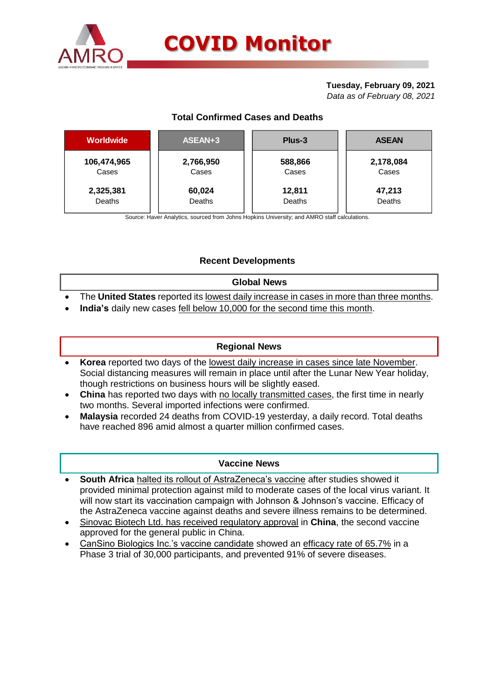

# **Tuesday, February 09, 2021**

*Data as of February 08, 2021*

# **Total Confirmed Cases and Deaths**

| <b>Worldwide</b> | ASEAN+3   | Plus-3  | <b>ASEAN</b> |  |  |
|------------------|-----------|---------|--------------|--|--|
| 106,474,965      | 2,766,950 | 588,866 | 2,178,084    |  |  |
| Cases            | Cases     | Cases   | Cases        |  |  |
| 2,325,381        | 60,024    | 12,811  | 47,213       |  |  |
| Deaths           | Deaths    | Deaths  | Deaths       |  |  |

Source: Haver Analytics, sourced from Johns Hopkins University; and AMRO staff calculations.

# **Recent Developments**

### **Global News**

- The **United States** reported its lowest daily increase in cases in more than three months.
- **India's** daily new cases fell below 10,000 for the second time this month.

## **Regional News**

- **Korea** reported two days of the lowest daily increase in cases since late November. Social distancing measures will remain in place until after the Lunar New Year holiday, though restrictions on business hours will be slightly eased.
- **China** has reported two days with no locally transmitted cases, the first time in nearly two months. Several imported infections were confirmed.
- **Malaysia** recorded 24 deaths from COVID-19 yesterday, a daily record. Total deaths have reached 896 amid almost a quarter million confirmed cases.

#### **Vaccine News**

- **South Africa** halted its rollout of AstraZeneca's vaccine after studies showed it provided minimal protection against mild to moderate cases of the local virus variant. It will now start its vaccination campaign with Johnson & Johnson's vaccine. Efficacy of the AstraZeneca vaccine against deaths and severe illness remains to be determined.
- Sinovac Biotech Ltd. has received regulatory approval in **China**, the second vaccine approved for the general public in China.
- CanSino Biologics Inc.'s vaccine candidate showed an efficacy rate of 65.7% in a Phase 3 trial of 30,000 participants, and prevented 91% of severe diseases.